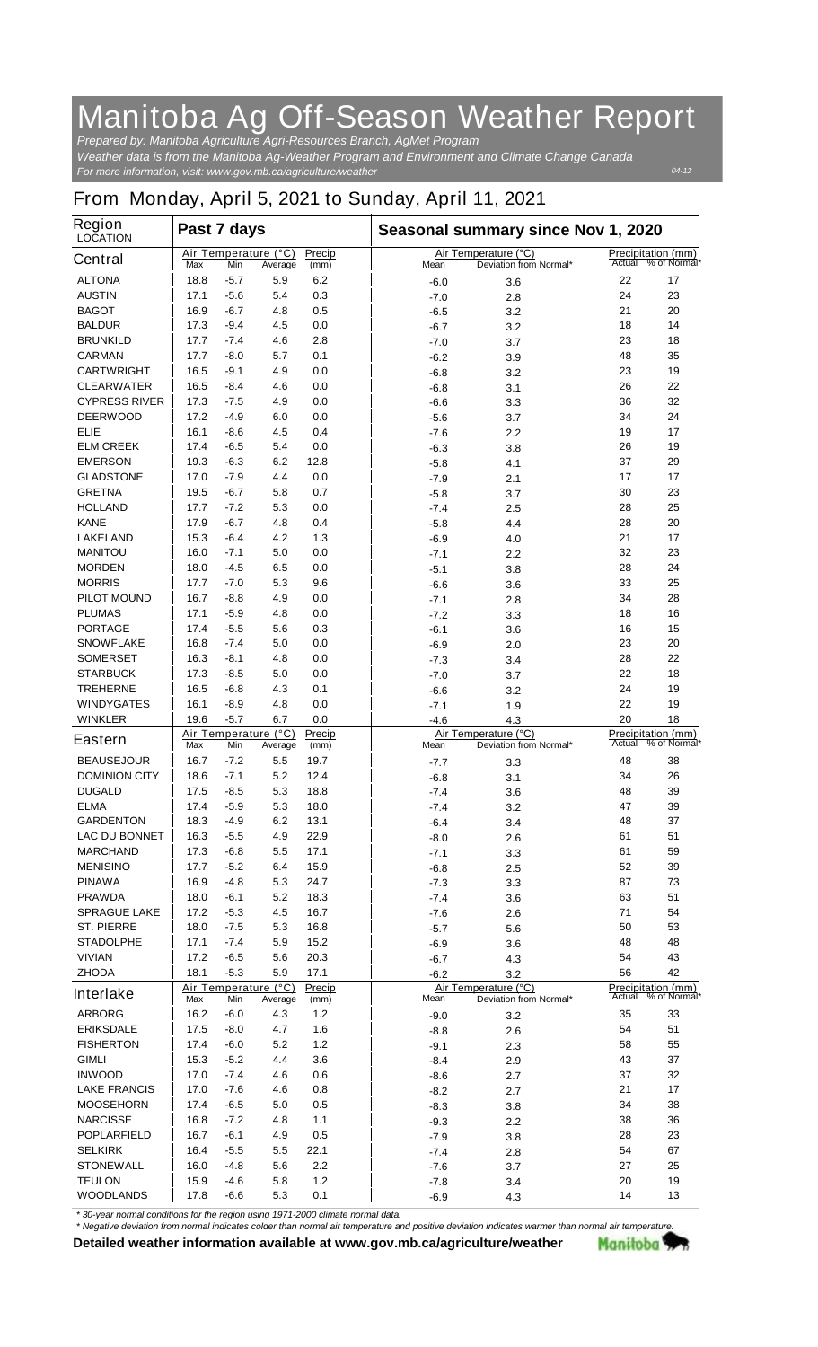## **Manitoba Ag Off-Season Weather Report**

*For more information, visit: www.gov.mb.ca/agriculture/weather Prepared by: Manitoba Agriculture Agri-Resources Branch, AgMet Program Weather data is from the Manitoba Ag-Weather Program and Environment and Climate Change Canada*

## **From Monday, April 5, 2021 to Sunday, April 11, 2021**

| <b>Region</b><br><b>LOCATION</b> | Past 7 days                                                     |        |                                 |                |                              | Seasonal summary since Nov 1, 2020 |                                                |    |                                                  |  |
|----------------------------------|-----------------------------------------------------------------|--------|---------------------------------|----------------|------------------------------|------------------------------------|------------------------------------------------|----|--------------------------------------------------|--|
| <b>Central</b>                   | Max                                                             | Min    | Air Temperature (°C)<br>Average | Precip<br>(mm) |                              | Mean                               | Air Temperature (°C)<br>Deviation from Normal* |    | <b>Precipitation (mm)</b><br>Actual % of Normal* |  |
| <b>ALTONA</b>                    | 18.8                                                            | $-5.7$ | 5.9                             | 6.2            |                              | $-6.0$                             | 3.6                                            | 22 | 17                                               |  |
| <b>AUSTIN</b>                    | 17.1                                                            | $-5.6$ | 5.4                             | 0.3            |                              | $-7.0$                             | 2.8                                            | 24 | 23                                               |  |
| <b>BAGOT</b>                     | 16.9                                                            | $-6.7$ | 4.8                             | 0.5            |                              | $-6.5$                             | 3.2                                            | 21 | 20                                               |  |
| <b>BALDUR</b>                    | 17.3                                                            | $-9.4$ | 4.5                             | 0.0            |                              | -6.7                               | 3.2                                            | 18 | 14                                               |  |
| <b>BRUNKILD</b>                  | 17.7                                                            | $-7.4$ | 4.6                             | 2.8            |                              | $-7.0$                             | 3.7                                            | 23 | 18                                               |  |
| <b>CARMAN</b>                    | 17.7                                                            | -8.0   | 5.7                             | 0.1            |                              | $-6.2$                             | 3.9                                            | 48 | 35                                               |  |
| <b>CARTWRIGHT</b>                | 16.5                                                            | -9.1   | 4.9                             | 0.0            |                              | $-6.8$                             | 3.2                                            | 23 | 19                                               |  |
| <b>CLEARWATER</b>                | 16.5                                                            | -8.4   | 4.6                             | 0.0            |                              | $-6.8$                             | 3.1                                            | 26 | 22                                               |  |
| <b>CYPRESS RIVER</b>             | 17.3                                                            | $-7.5$ | 4.9                             | 0.0            |                              | $-6.6$                             | 3.3                                            | 36 | 32                                               |  |
| <b>DEERWOOD</b>                  | 17.2                                                            | -4.9   | 6.0                             | 0.0            |                              | $-5.6$                             | 3.7                                            | 34 | 24                                               |  |
| <b>ELIE</b>                      | 16.1                                                            | $-8.6$ | 4.5                             | 0.4            |                              | $-7.6$                             | 2.2                                            | 19 | 17                                               |  |
| <b>ELM CREEK</b>                 | 17.4                                                            | -6.5   | 5.4                             | 0.0            |                              | -6.3                               | 3.8                                            | 26 | 19                                               |  |
| <b>EMERSON</b>                   | 19.3                                                            | $-6.3$ | 6.2                             | 12.8           |                              | $-5.8$                             | 4.1                                            | 37 | 29                                               |  |
| <b>GLADSTONE</b>                 | 17.0                                                            | $-7.9$ | 4.4                             | 0.0            |                              | -7.9                               | 2.1                                            | 17 | 17                                               |  |
| <b>GRETNA</b>                    | 19.5                                                            | $-6.7$ | 5.8                             | 0.7            |                              | $-5.8$                             | 3.7                                            | 30 | 23                                               |  |
| <b>HOLLAND</b>                   | 17.7                                                            | $-7.2$ | 5.3                             | 0.0            |                              | $-7.4$                             | 2.5                                            | 28 | 25                                               |  |
| <b>KANE</b>                      | 17.9                                                            | $-6.7$ | 4.8                             | 0.4            |                              | $-5.8$                             | 4.4                                            | 28 | 20                                               |  |
| <b>LAKELAND</b>                  | 15.3                                                            | $-6.4$ | 4.2                             | 1.3            |                              | -6.9                               | 4.0                                            | 21 | 17                                               |  |
| <b>MANITOU</b>                   | 16.0                                                            | -7.1   | 5.0                             | 0.0            |                              | $-7.1$                             | 2.2                                            | 32 | 23                                               |  |
| <b>MORDEN</b>                    | 18.0                                                            | $-4.5$ | 6.5                             | 0.0            |                              | $-5.1$                             | 3.8                                            | 28 | 24                                               |  |
| <b>MORRIS</b>                    | 17.7                                                            | $-7.0$ | 5.3                             | 9.6            |                              | $-6.6$                             | 3.6                                            | 33 | 25                                               |  |
| <b>PILOT MOUND</b>               | 16.7                                                            | $-8.8$ | 4.9                             | 0.0            |                              | $-7.1$                             | 2.8                                            | 34 | 28                                               |  |
| <b>PLUMAS</b>                    | 17.1                                                            | $-5.9$ | 4.8                             | 0.0            |                              | $-7.2$                             | 3.3                                            | 18 | 16                                               |  |
| <b>PORTAGE</b>                   | 17.4                                                            | $-5.5$ | 5.6                             | 0.3            |                              | $-6.1$                             | 3.6                                            | 16 | 15                                               |  |
| <b>SNOWFLAKE</b>                 | 16.8                                                            | -7.4   | 5.0                             | 0.0            |                              | $-6.9$                             | 2.0                                            | 23 | 20                                               |  |
| <b>SOMERSET</b>                  | 16.3                                                            | -8.1   | 4.8                             | 0.0            |                              | $-7.3$                             | 3.4                                            | 28 | 22                                               |  |
| <b>STARBUCK</b>                  | 17.3                                                            | $-8.5$ | 5.0                             | 0.0            |                              | $-7.0$                             | 3.7                                            | 22 | 18                                               |  |
| <b>TREHERNE</b>                  | 16.5                                                            | $-6.8$ | 4.3                             | 0.1            |                              | $-6.6$                             | 3.2                                            | 24 | 19                                               |  |
| <b>WINDYGATES</b>                | 16.1                                                            | $-8.9$ | 4.8                             | 0.0            |                              | $-7.1$                             | 1.9                                            | 22 | 19                                               |  |
| <b>WINKLER</b>                   | 19.6                                                            | $-5.7$ | 6.7                             | 0.0            |                              | -4.6                               | 4.3                                            | 20 | 18                                               |  |
| <b>Eastern</b>                   | Air Temperature (°C)<br>Precip<br>Max<br>Min<br>Average<br>(mm) |        |                                 |                | Air Temperature (°C)<br>Mean | Actual                             | <b>Precipitation (mm)</b><br>$%$ of Normal*    |    |                                                  |  |
| <b>BEAUSEJOUR</b>                | 16.7                                                            | -7.2   | 5.5                             | 19.7           |                              | -7.7                               | 3.3                                            | 48 | 38                                               |  |
| <b>DOMINION CITY</b>             | 18.6                                                            | $-7.1$ | 5.2                             | 12.4           |                              | -6.8                               | 3.1                                            | 34 | 26                                               |  |
| <b>DUGALD</b>                    | 17.5                                                            | -8.5   | 5.3                             | 18.8           |                              | $-7.4$                             | 3.6                                            | 48 | 39                                               |  |
| <b>ELMA</b>                      | 17.4                                                            | $-5.9$ | 5.3                             | 18.0           |                              | $-7.4$                             | 3.2                                            | 47 | 39                                               |  |
| <b>GARDENTON</b>                 | 18.3                                                            | $-4.9$ | 6.2                             | 13.1           |                              | -6.4                               | 3.4                                            | 48 | 37                                               |  |
| <b>LAC DU BONNET</b>             | 16.3                                                            | $-5.5$ | 4.9                             | 22.9           |                              | $-8.0$                             | 2.6                                            | 61 | 51                                               |  |
| <b>MARCHAND</b>                  | 17.3                                                            | -6.8   | 5.5                             | 17.1           |                              | $-7.1$                             | 3.3                                            | 61 | 59                                               |  |
| <b>MENISINO</b>                  | 17.7                                                            | $-5.2$ | 6.4                             | 15.9           |                              | $-6.8$                             | 2.5                                            | 52 | 39                                               |  |
| <b>PINAWA</b>                    | 16.9                                                            | -4.8   | 5.3                             | 24.7           |                              | $-7.3$                             | 3.3                                            | 87 | 73                                               |  |
| <b>PRAWDA</b>                    | 18.0                                                            | $-6.1$ | 5.2                             | 18.3           |                              | $-7.4$                             | 3.6                                            | 63 | 51                                               |  |
| <b>SPRAGUE LAKE</b>              | 17.2                                                            | $-5.3$ | 4.5                             | 16.7           |                              | $-7.6$                             | 2.6                                            | 71 | 54                                               |  |
| <b>ST. PIERRE</b>                | 18.0                                                            | -7.5   | 5.3                             | 16.8           |                              | $-5.7$                             | 5.6                                            | 50 | 53                                               |  |
| <b>STADOLPHE</b>                 | 17.1                                                            | $-7.4$ | 5.9                             | 15.2           |                              | $-6.9$                             | 3.6                                            | 48 | 48                                               |  |
| <b>VIVIAN</b>                    | 17.2                                                            | -6.5   | 5.6                             | 20.3           |                              | $-6.7$                             | 4.3                                            | 54 | 43                                               |  |
| <b>ZHODA</b>                     | 18.1                                                            | $-5.3$ | 5.9                             | 17.1           |                              | $-6.2$                             | 3.2                                            | 56 | 42                                               |  |
| <b>Interlake</b>                 | Max                                                             | Min    | Air Temperature (°C)<br>Average | Precip<br>(mm) |                              | Mean                               | Air Temperature (°C)<br>Deviation from Normal* |    | <b>Precipitation (mm)</b><br>Actual % of Normal* |  |
| <b>ARBORG</b>                    | 16.2                                                            | -6.0   | 4.3                             | $1.2$          |                              | $-9.0$                             | 3.2                                            | 35 | 33                                               |  |
| <b>ERIKSDALE</b>                 | 17.5                                                            | $-8.0$ | 4.7                             | 1.6            |                              | $-8.8$                             | 2.6                                            | 54 | 51                                               |  |
| <b>FISHERTON</b>                 | 17.4                                                            | $-6.0$ | 5.2                             | $1.2$          |                              | -9.1                               | 2.3                                            | 58 | 55                                               |  |
| <b>GIMLI</b>                     | 15.3                                                            | -5.2   | 4.4                             | 3.6            |                              | $-8.4$                             | 2.9                                            | 43 | 37                                               |  |
| <b>INWOOD</b>                    | 17.0                                                            | -7.4   | 4.6                             | 0.6            |                              | $-8.6$                             | 2.7                                            | 37 | 32                                               |  |
| <b>LAKE FRANCIS</b>              | 17.0                                                            | -7.6   | 4.6                             | 0.8            |                              | $-8.2$                             | 2.7                                            | 21 | 17                                               |  |
| <b>MOOSEHORN</b>                 | 17.4                                                            | $-6.5$ | 5.0                             | 0.5            |                              | $-8.3$                             | 3.8                                            | 34 | 38                                               |  |
| <b>NARCISSE</b>                  | 16.8                                                            | $-7.2$ | 4.8                             | 1.1            |                              | $-9.3$                             | 2.2                                            | 38 | 36                                               |  |
| <b>POPLARFIELD</b>               | 16.7                                                            | -6.1   | 4.9                             | 0.5            |                              | $-7.9$                             | 3.8                                            | 28 | 23                                               |  |
| <b>SELKIRK</b>                   | 16.4                                                            | $-5.5$ | 5.5                             | 22.1           |                              | $-7.4$                             | 2.8                                            | 54 | 67                                               |  |
| <b>STONEWALL</b>                 | 16.0                                                            | -4.8   | 5.6                             | 2.2            |                              | $-7.6$                             | 3.7                                            | 27 | 25                                               |  |
| <b>TEULON</b>                    | 15.9                                                            | -4.6   | 5.8                             | 1.2            |                              | $-7.8$                             | 3.4                                            | 20 | 19                                               |  |
| <b>WOODLANDS</b>                 | 17.8                                                            | -6.6   | 5.3                             | 0.1            |                              | $-6.9$                             | 4.3                                            | 14 | 13                                               |  |

*\* 30-year normal conditions for the region using 1971-2000 climate normal data.*

*\* Negative deviation from normal indicates colder than normal air temperature and positive deviation indicates warmer than normal air temperature.***Detailed weather information available at www.gov.mb.ca/agriculture/weather** Manitoba 77